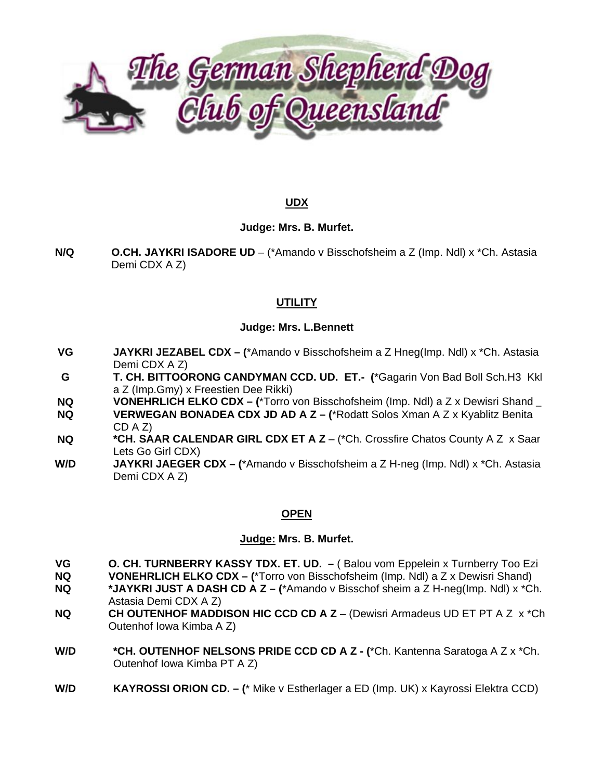

## **UDX**

#### Judge: Mrs. B. Murfet.

 $N/Q$ **O.CH. JAYKRI ISADORE UD** – (\*Amando v Bisschofsheim a Z (Imp. Ndl) x \*Ch. Astasia Demi CDX A Z)

# **UTILITY**

## **Judge: Mrs. L.Bennett**

- **VG** JAYKRI JEZABEL CDX - (\*Amando v Bisschofsheim a Z Hneg(Imp. Ndl) x \*Ch. Astasia Demi CDX A Z)
- G. T. CH. BITTOORONG CANDYMAN CCD. UD. ET.- (\*Gagarin Von Bad Boll Sch.H3 Kkl a Z (Imp. Gmy) x Freestien Dee Rikki)
- VONEHRLICH ELKO CDX (\*Torro von Bisschofsheim (Imp. Ndl) a Z x Dewisri Shand **NQ**
- VERWEGAN BONADEA CDX JD AD A Z (\*Rodatt Solos Xman A Z x Kyablitz Benita **NQ**  $CD A Z$
- **NQ** \*CH. SAAR CALENDAR GIRL CDX ET A Z - (\*Ch. Crossfire Chatos County A Z x Saar Lets Go Girl CDX)
- W/D **JAYKRI JAEGER CDX – (\*Amando v Bisschofsheim a Z H-neg (Imp. Ndl) x \*Ch. Astasia** Demi CDX A Z)

#### **OPEN**

#### Judge: Mrs. B. Murfet.

- O. CH. TURNBERRY KASSY TDX. ET. UD. (Balou vom Eppelein x Turnberry Too Ezi VG
- **NO VONEHRLICH ELKO CDX - (\*Torro von Bisschofsheim (Imp. Ndl) a Z x Dewisri Shand)**
- \*JAYKRI JUST A DASH CD A Z (\*Amando v Bisschof sheim a Z H-neg(Imp. Ndl) x \*Ch. **NQ** Astasia Demi CDX A Z)
- CH OUTENHOF MADDISON HIC CCD CD A Z (Dewisri Armadeus UD ET PT A Z x \*Ch **NQ** Outenhof Iowa Kimba A Z)
- \*CH. OUTENHOF NELSONS PRIDE CCD CD A Z (\*Ch. Kantenna Saratoga A Z x \*Ch. W/D Outenhof Iowa Kimba PT A Z)
- W/D **KAYROSSI ORION CD. - (\*** Mike v Estherlager a ED (Imp. UK) x Kayrossi Elektra CCD)